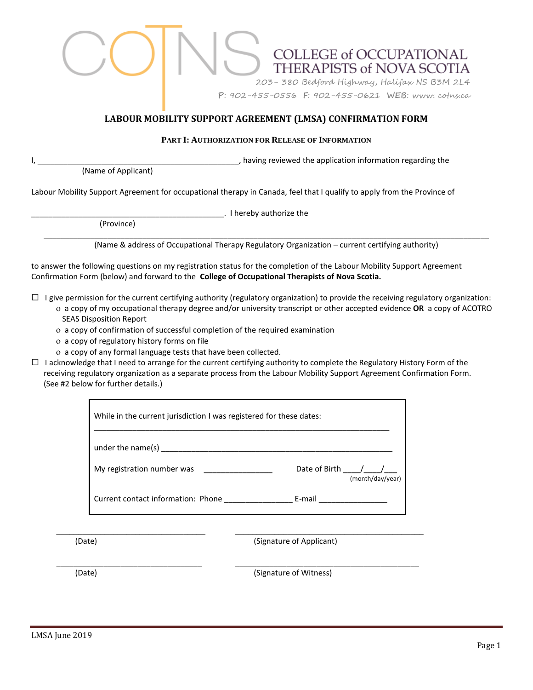# **COLLEGE of OCCUPATIONAL** THERAPISTS of NOVA SCOTIA 203- 380 Bedford Highway, Halifax NS B3M 2L4 **P**: 902-455-0556 **F**: 902-455-0621 **WEB**: www. cotns.ca

## **LABOUR MOBILITY SUPPORT AGREEMENT (LMSA) CONFIRMATION FORM**

### **PART I: AUTHORIZATION FOR RELEASE OF INFORMATION**

(Name of Applicant)

, having reviewed the application information regarding the

Labour Mobility Support Agreement for occupational therapy in Canada, feel that I qualify to apply from the Province of

\_\_\_\_\_\_\_\_\_\_\_\_\_\_\_\_\_\_\_\_\_\_\_\_\_\_\_\_\_\_\_\_\_\_\_\_\_\_\_\_\_\_\_\_\_. I hereby authorize the

(Province)

\_\_\_\_\_\_\_\_\_\_\_\_\_\_\_\_\_\_\_\_\_\_\_\_\_\_\_\_\_\_\_\_\_\_\_\_\_\_\_\_\_\_\_\_\_\_\_\_\_\_\_\_\_\_\_\_\_\_\_\_\_\_\_\_\_\_\_\_\_\_\_\_\_\_\_\_\_\_\_\_\_\_\_\_\_\_\_\_\_\_\_\_\_\_\_\_\_\_\_\_\_\_\_\_ (Name & address of Occupational Therapy Regulatory Organization – current certifying authority)

to answer the following questions on my registration status for the completion of the Labour Mobility Support Agreement Confirmation Form (below) and forward to the **College of Occupational Therapists of Nova Scotia.**

 $\Box$  I give permission for the current certifying authority (regulatory organization) to provide the receiving regulatory organization:

- a copy of my occupational therapy degree and/or university transcript or other accepted evidence **OR** a copy of ACOTRO SEAS Disposition Report
	- a copy of confirmation of successful completion of the required examination
- a copy of regulatory history forms on file
- a copy of any formal language tests that have been collected.
- $\Box$  I acknowledge that I need to arrange for the current certifying authority to complete the Regulatory History Form of the receiving regulatory organization as a separate process from the Labour Mobility Support Agreement Confirmation Form. (See #2 below for further details.)

| While in the current jurisdiction I was registered for these dates: |                                     |
|---------------------------------------------------------------------|-------------------------------------|
| under the name(s)                                                   |                                     |
| My registration number was                                          | Date of Birth /<br>(month/day/year) |
| Current contact information: Phone                                  | E-mail                              |

\_\_\_\_\_\_\_\_\_\_\_\_\_\_\_\_\_\_\_\_\_\_\_\_\_\_\_\_\_\_\_\_\_\_ \_\_\_\_\_\_\_\_\_\_\_\_\_\_\_\_\_\_\_\_\_\_\_\_\_\_\_\_\_\_\_\_\_\_\_\_\_\_\_\_\_\_\_

\_\_\_\_\_\_\_\_\_\_\_\_\_\_\_\_\_\_\_\_\_\_\_\_\_\_\_\_\_\_\_\_\_\_ \_\_\_\_\_\_\_\_\_\_\_\_\_\_\_\_\_\_\_\_\_\_\_\_\_\_\_\_\_\_\_\_\_\_\_\_\_\_\_\_\_\_\_

(Date) (Signature of Applicant)

(Date) (Signature of Witness)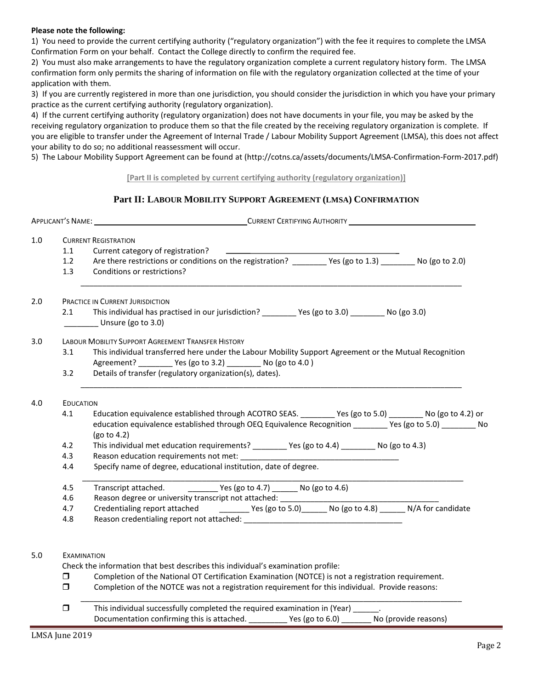#### **Please note the following:**

1) You need to provide the current certifying authority ("regulatory organization") with the fee it requires to complete the LMSA Confirmation Form on your behalf. Contact the College directly to confirm the required fee.

2) You must also make arrangements to have the regulatory organization complete a current regulatory history form. The LMSA confirmation form only permits the sharing of information on file with the regulatory organization collected at the time of your application with them.

3) If you are currently registered in more than one jurisdiction, you should consider the jurisdiction in which you have your primary practice as the current certifying authority (regulatory organization).

4) If the current certifying authority (regulatory organization) does not have documents in your file, you may be asked by the receiving regulatory organization to produce them so that the file created by the receiving regulatory organization is complete. If you are eligible to transfer under the Agreement of Internal Trade / Labour Mobility Support Agreement (LMSA), this does not affect your ability to do so; no additional reassessment will occur.

5) The Labour Mobility Support Agreement can be found at (http://cotns.ca/assets/documents/LMSA-Confirmation-Form-2017.pdf)

#### **[Part II is completed by current certifying authority (regulatory organization)]**

## **Part II: LABOUR MOBILITY SUPPORT AGREEMENT (LMSA) CONFIRMATION**

| $1.0$ |                  | <b>CURRENT REGISTRATION</b>                                                                                 |
|-------|------------------|-------------------------------------------------------------------------------------------------------------|
|       | 1.1              | Current category of registration?                                                                           |
|       | 1.2              | Are there restrictions or conditions on the registration? _________ Yes (go to 1.3) ________ No (go to 2.0) |
|       | 1.3              | Conditions or restrictions?                                                                                 |
| 2.0   |                  | <b>PRACTICE IN CURRENT JURISDICTION</b>                                                                     |
|       | 2.1              | Unsure (go to 3.0)                                                                                          |
| 3.0   |                  | LABOUR MOBILITY SUPPORT AGREEMENT TRANSFER HISTORY                                                          |
|       | 3.1              | This individual transferred here under the Labour Mobility Support Agreement or the Mutual Recognition      |
|       |                  | Agreement? _________ Yes (go to 3.2) ________ No (go to 4.0)                                                |
|       | 3.2              | Details of transfer (regulatory organization(s), dates).                                                    |
| 4.0   | <b>EDUCATION</b> |                                                                                                             |
|       | 4.1              | Education equivalence established through ACOTRO SEAS. _________ Yes (go to 5.0) ________ No (go to 4.2) or |
|       |                  | education equivalence established through OEQ Equivalence Recognition ________ Yes (go to 5.0) ________ No  |
|       |                  | (go to 4.2)                                                                                                 |
|       | 4.2              | This individual met education requirements? _________ Yes (go to 4.4) ________ No (go to 4.3)               |
|       | 4.3              |                                                                                                             |
|       | 4.4              | Specify name of degree, educational institution, date of degree.                                            |
|       | 4.5              | Transcript attached. ___________ Yes (go to 4.7) _______ No (go to 4.6)                                     |
|       | 4.6              |                                                                                                             |
|       | 4.7              |                                                                                                             |
|       | 4.8              |                                                                                                             |
|       |                  |                                                                                                             |
| 5.0   |                  | <b>EXAMINATION</b>                                                                                          |
|       |                  | Check the information that best describes this individual's examination profile:                            |
|       | □                | Completion of the National OT Certification Examination (NOTCE) is not a registration requirement.          |
|       | 0                | Completion of the NOTCE was not a registration requirement for this individual. Provide reasons:            |
|       | $\Box$           | This individual successfully completed the required examination in (Year) ______.                           |
|       |                  | Documentation confirming this is attached. __________ Yes (go to 6.0) _______ No (provide reasons)          |